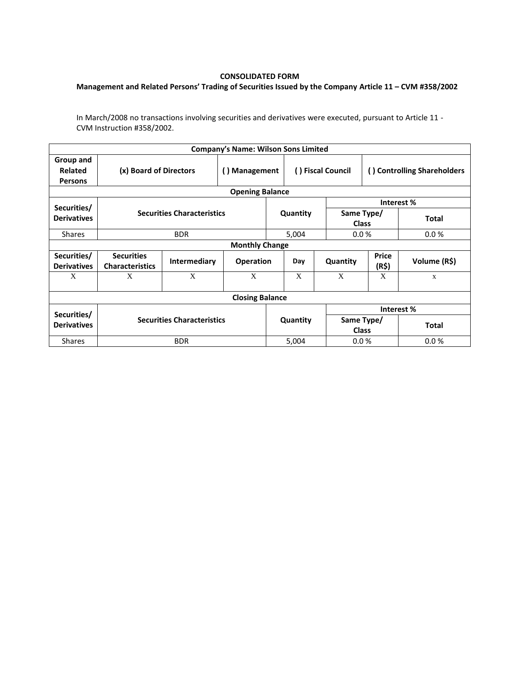## **CONSOLIDATED FORM**

## **Management and Related Persons' Trading of Securities Issued by the Company Article 11 – CVM #358/2002**

In March/2008 no transactions involving securities and derivatives were executed, pursuant to Article 11 - CVM Instruction #358/2002.

| <b>Company's Name: Wilson Sons Limited</b> |                                             |              |                  |          |                   |                            |                             |              |  |  |  |  |
|--------------------------------------------|---------------------------------------------|--------------|------------------|----------|-------------------|----------------------------|-----------------------------|--------------|--|--|--|--|
| Group and<br>Related<br><b>Persons</b>     | (x) Board of Directors                      |              | () Management    |          | () Fiscal Council |                            | () Controlling Shareholders |              |  |  |  |  |
| <b>Opening Balance</b>                     |                                             |              |                  |          |                   |                            |                             |              |  |  |  |  |
| Securities/                                |                                             |              |                  |          |                   |                            | Interest %                  |              |  |  |  |  |
| <b>Derivatives</b>                         | <b>Securities Characteristics</b>           |              |                  | Quantity |                   | Same Type/<br><b>Class</b> |                             | <b>Total</b> |  |  |  |  |
| <b>Shares</b>                              |                                             | <b>BDR</b>   |                  | 5,004    |                   | 0.0%                       |                             | 0.0%         |  |  |  |  |
| <b>Monthly Change</b>                      |                                             |              |                  |          |                   |                            |                             |              |  |  |  |  |
| Securities/<br><b>Derivatives</b>          | <b>Securities</b><br><b>Characteristics</b> | Intermediary | <b>Operation</b> |          | Day               | Quantity                   | <b>Price</b><br>(R\$)       | Volume (R\$) |  |  |  |  |
| X                                          | X                                           | X            | X                |          | X                 | X                          | X                           | X            |  |  |  |  |
| <b>Closing Balance</b>                     |                                             |              |                  |          |                   |                            |                             |              |  |  |  |  |
|                                            |                                             |              |                  |          |                   | Interest%                  |                             |              |  |  |  |  |
| Securities/<br><b>Derivatives</b>          | <b>Securities Characteristics</b>           |              |                  | Quantity |                   | Same Type/<br><b>Class</b> |                             | <b>Total</b> |  |  |  |  |
| <b>Shares</b>                              | <b>BDR</b>                                  |              |                  | 5,004    |                   | 0.0 %                      |                             | 0.0%         |  |  |  |  |